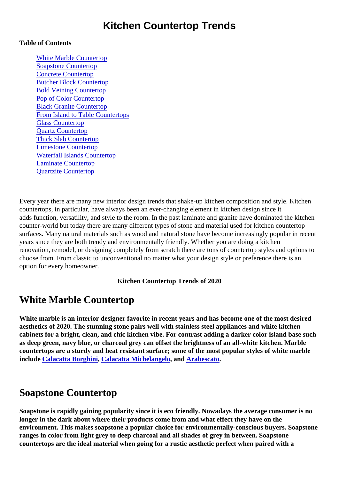### Kitchen Countertop Trends

#### Table of Contents

White Marble Countertop Soapstone Countertop [Concrete Counterto](#page-1-0)p [Butcher Block Counterto](#page-1-0)p [Bold Veining Counterto](#page-1-0)p [Pop of Color Counterto](#page-1-0)p [Black Granite Counterto](#page-1-0)p [From Island to Table Counterto](#page-2-0)ps [Glass Counterto](#page-2-0)p [Quartz Counterto](#page-2-0)p [Thick Slab Counterto](#page-2-0)p [Limestone Counterto](#page-2-0)p [Waterfall Islands Counterto](#page-3-0)p [Laminate Counterto](#page-3-0)p [Quartzite Countertop](#page-3-0)

Every year there are many new interior design trends that shake-up kitchen composition and style. Kitchen countertops, in particular, have always been an ever-changing element in kitchen design since it adds function, versatility, and style to the room. In the past laminate and granite have dominated the kitche counter-world but today there are many different types of stone and material used for kitchen countertop surfaces. Many natural materials such as wood and natural stone have become increasingly popular in req years since they are both trendy and environmentally friendly. Whether you are doing a kitchen renovation, remodel, or designing completely from scratch there are tons of countertop styles and options choose from. From classic to unconventional no matter what your design style or preference there is an option for every homeowner.

Kitchen Countertop Trends of 2020

### White Marble Countertop

White marble is an interior designer favorite in recent years and has become one of the most desired aesthetics of 2020. The stunning stone pairs well with stainless steel appliances and white kitchen cabinets for a bright, clean, and chic kitchen vibe. For contrast adding a darker color island base such as deep green, navy blue, or charcoal grey can offset the brightness of an all-white kitchelarble countertops are a sturdy and heat resistant surfacepone of the most popular styles of white marble include [Calacatta Borghini](https://marble.com/marble-countertops/calacatta-borghini/101), [Calacatta Michelangelo](https://marble.com/marble-countertops/calacatta-michelangelo/410) and [Arabescato](https://marble.com/marble-countertops/arabescato/202).

# Soapstone Countertop

Soapstone is rapidly gaining popularity since it is eco friendly. Nowadays the average consumer is no longer in the dark about where their products come from and what effect they have on the environment. This makes soapstone a popular choice for environmentally-conscious buyers. Soapstone ranges in color from light grey to deep charcoal and all shades of grey in between. Soapstone countertops are the ideal material when going for a rustic aesthetic perfect when paired with a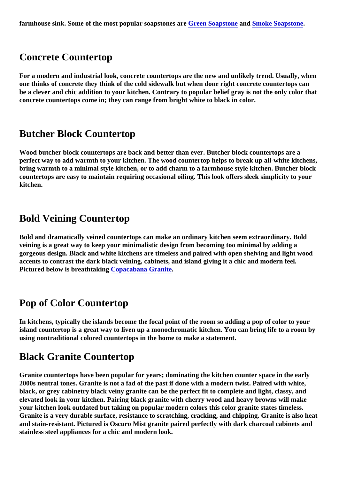## <span id="page-1-0"></span>Concrete Countertop

For a modern and industrial look, concrete countertops are the new and unlikely trend. Usually, when one thinks of concrete they think of the cold sidewalk but when done right concrete countertops can be a clever and chic addition to your kitchen. Contrary to popular belief gray is not the only color that concrete countertops come in; they can range from bright white to black in color.

#### Butcher Block Countertop

Wood butcher block countertops are back and better than ever. Butcher block countertops are a perfect way to add warmth to your kitchen. The wood countertop helps to break up all-white kitchens, bring warmth to a minimal style kitchen, or to add charm to a farmhouse style kitchen. Butcher block countertops are easy to maintain requiring occasional oiling. This look offers sleek simplicity to your kitchen.

### Bold Veining Countertop

Bold and dramatically veined countertops can make an ordinary kitchen seem extraordinary. Bold veining is a great way to keep your minimalistic design from becoming too minimal by adding a gorgeous design. Black and white kitchens are timeless and paired with open shelving and light wood accents to contrast the dark black veining, cabinets, and island giving it a chic and modern feel. Pictured below is breathtaking [Copacabana Granite.](https://marble.com/granite-countertops/copacabana/615)

### Pop of Color Countertop

In kitchens, typically the islands become the focal point of the room so adding a pop of color to your island countertop is a great way to liven up a monochromatic kitchen. You can bring life to a room by using nontraditional colored countertops in the home to make a statement.

### Black Granite Countertop

Granite countertops have been popular for years; dominating the kitchen counter space in the early 2000s neutral tones. Granite is not a fad of the past if done with a modern twist. Paired with white, black, or grey cabinetry black veiny granite can be the perfect fit to complete and light, classy, and elevated look in your kitchen. Pairing black granite with cherry wood and heavy browns will make your kitchen look outdated but taking on popular modern colors this color granite states timeless. Granite is a very durable surface, resistance to scratching, cracking, and chipping. Granite is also heat and stain-resistant. Pictured is Oscuro Mist granite paired perfectly with dark charcoal cabinets and stainless steel appliances for a chic and modern look.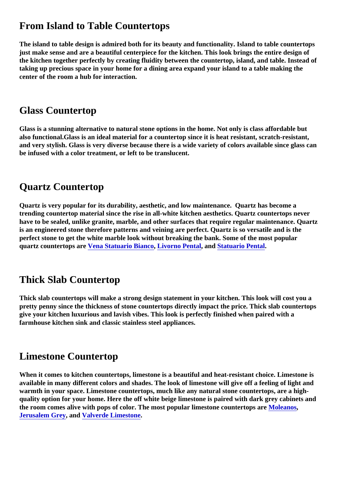## <span id="page-2-0"></span>From Island to Table Countertops

The island to table design is admired both for its beauty and functionality. Island to table countertops just make sense and are a beautiful centerpiece for the kitchen. This look brings the entire design of the kitchen together perfectly by creating fluidity between the countertop, island, and table. Instead of taking up precious space in your home for a dining area expand your island to a table making the center of the room a hub for interaction.

## Glass Countertop

Glass is a stunning alternative to natural stone options in the home. Not only is class affordable but also functional.Glass is an ideal material for a countertop since it is heat resistant, scratch-resistant, and very stylish. Glass is very diverse because there is a wide variety of colors available since glass can be infused with a color treatment, or left to be translucent.

## Quartz Countertop

Quartz is very popular for its durability, aesthetic, and low maintenance. Quartz has become a trending countertop material since the rise in all-white kitchen aesthetics. Quartz countertops never have to be sealed, unlike granite, marble, and other surfaces that require regular maintenance. Quartz is an engineered stone therefore patterns and veining are perfect. Quartz is so versatile and is the perfect stone to get the white marble look without breaking the bank. Some of the most popular quartz countertops ar[e Vena Statuario Bianco](https://marble.com/quartz-countertops/vena-statuario-bianco/1204), [Livorno Pental](https://marble.com/quartz-countertops/livorno-pental/1394), and [Statuario Pental](https://marble.com/marble-countertops/statuario/1071).

# Thick Slab Countertop

Thick slab countertops will make a strong design statement in your kitchen. This look will cost you a pretty penny since the thickness of stone countertops directly impact the price. Thick slab countertops give your kitchen luxurious and lavish vibes. This look is perfectly finished when paired with a farmhouse kitchen sink and classic stainless steel appliances.

### Limestone Countertop

When it comes to kitchen countertops, limestone is a beautiful and heat-resistant choice. Limestone is available in many different colors and shades. The look of limestone will give off a feeling of light and warmth in your space. Limestone countertops, much like any natural stone countertops, are a highquality option for your home. Here the off white beige limestone is paired with dark grey cabinets and the room comes alive with pops of color. The most popular limestone countertops aveleanos [Jerusalem Grey,](https://marble.com/limestone-countertops/jerusalem-grey/1038) and [Valverde Limestone.](https://marble.com/limestone-countertops/valverde/536)